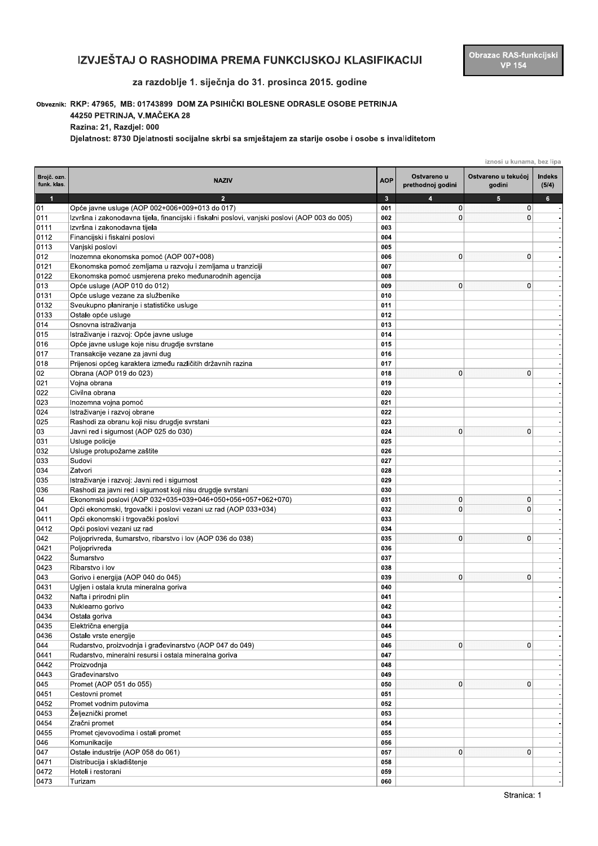## IZVJEŠTAJ O RASHODIMA PREMA FUNKCIJSKOJ KLASIFIKACIJI

## za razdoblje 1. siječnja do 31. prosinca 2015. godine

## Obveznik: RKP: 47965, MB: 01743899 DOM ZA PSIHIČKI BOLESNE ODRASLE OSOBE PETRINJA

44250 PETRINJA, V.MAČEKA 28

Razina: 21, Razdjel: 000

Djelatnost: 8730 Djelatnosti socijalne skrbi sa smještajem za starije osobe i osobe s invaliditetom

|                            |                                                                                                                     |                         | iznosi u kunama, bez lipa        |                               |                 |
|----------------------------|---------------------------------------------------------------------------------------------------------------------|-------------------------|----------------------------------|-------------------------------|-----------------|
| Brojč. ozn.<br>funk. klas. | <b>NAZIV</b>                                                                                                        | <b>AOP</b>              | Ostvareno u<br>prethodnoj godini | Ostvareno u tekućoj<br>godini | Indeks<br>(5/4) |
| $\overline{1}$             | $\overline{2}$                                                                                                      | $\overline{\mathbf{3}}$ | 4                                | 5                             | 6               |
| 01                         | Opće javne usluge (AOP 002+006+009+013 do 017)                                                                      | 001                     | $\mathbf 0$                      | $\mathbf 0$                   |                 |
| 011                        | Izvršna i zakonodavna tijela, financijski i fiskalni poslovi, vanjski poslovi (AOP 003 do 005)                      | 002                     | $\mathbf 0$                      | $\mathbf{0}$                  |                 |
| 0111                       | Izvršna i zakonodavna tijela                                                                                        | 003                     |                                  |                               |                 |
| 0112                       | Financijski i fiskalni poslovi                                                                                      | 004                     |                                  |                               |                 |
| 0113                       | Vanjski poslovi                                                                                                     | 005                     |                                  |                               |                 |
| 012                        | Inozemna ekonomska pomoć (AOP 007+008)                                                                              | 006                     | $\mathbf 0$                      | $\mathbf{0}$                  |                 |
| 0121<br>0122               | Ekonomska pomoć zemljama u razvoju i zemljama u tranziciji<br>Ekonomska pomoć usmjerena preko međunarodnih agencija | 007<br>008              |                                  |                               |                 |
| 013                        | Opće usluge (AOP 010 do 012)                                                                                        | 009                     | $\mathbf 0$                      | $\mathbf 0$                   |                 |
| 0131                       | Opće usluge vezane za službenike                                                                                    | 010                     |                                  |                               |                 |
| 0132                       | Sveukupno planiranje i statističke usluge                                                                           | 011                     |                                  |                               |                 |
| 0133                       | Ostale opće usluge                                                                                                  | 012                     |                                  |                               |                 |
| 014                        | Osnovna istraživanja                                                                                                | 013                     |                                  |                               |                 |
| 015                        | Istraživanje i razvoj: Opće javne usluge                                                                            | 014                     |                                  |                               |                 |
| 016                        | Opće javne usluge koje nisu drugdje svrstane                                                                        | 015                     |                                  |                               |                 |
| 017                        | Transakcije vezane za javni dug                                                                                     | 016                     |                                  |                               |                 |
| 018                        | Prijenosi općeg karaktera između različitih državnih razina                                                         | 017                     |                                  |                               |                 |
| 02                         | Obrana (AOP 019 do 023)                                                                                             | 018                     | $\mathbf 0$                      | $\mathbf{0}$                  |                 |
| 021                        | Vojna obrana                                                                                                        | 019                     |                                  |                               |                 |
| 022                        | Civilna obrana                                                                                                      | 020                     |                                  |                               |                 |
| 023                        | Inozemna vojna pomoć                                                                                                | 021                     |                                  |                               |                 |
| 024                        | Istraživanje i razvoj obrane                                                                                        | 022                     |                                  |                               |                 |
| 025                        | Rashodi za obranu koji nisu drugdje svrstani                                                                        | 023                     |                                  |                               |                 |
| 03                         | Javni red i sigurnost (AOP 025 do 030)                                                                              | 024                     | $\mathbf 0$                      | $\mathbf 0$                   |                 |
| 031                        | Usluge policije                                                                                                     | 025                     |                                  |                               |                 |
| 032                        | Usluge protupožarne zaštite                                                                                         | 026                     |                                  |                               |                 |
| 033                        | Sudovi                                                                                                              | 027                     |                                  |                               |                 |
| 034                        | Zatvori                                                                                                             | 028                     |                                  |                               |                 |
| 035                        | Istraživanje i razvoj: Javni red i sigurnost                                                                        | 029                     |                                  |                               |                 |
| 036                        | Rashodi za javni red i sigurnost koji nisu drugdje svrstani                                                         | 030                     |                                  |                               |                 |
| 04                         | Ekonomski poslovi (AOP 032+035+039+046+050+056+057+062+070)                                                         | 031                     | 0                                | 0                             |                 |
| 041                        | Opći ekonomski, trgovački i poslovi vezani uz rad (AOP 033+034)                                                     | 032                     | $\mathbf 0$                      | $\mathbf 0$                   |                 |
| 0411                       | Opći ekonomski i trgovački poslovi                                                                                  | 033                     |                                  |                               |                 |
| 0412                       | Opći poslovi vezani uz rad                                                                                          | 034                     |                                  |                               |                 |
| 042                        | Poljoprivreda, šumarstvo, ribarstvo i lov (AOP 036 do 038)                                                          | 035                     | 0                                | $\Omega$                      |                 |
| 0421                       | Poljoprivreda                                                                                                       | 036                     |                                  |                               |                 |
| 0422                       | Šumarstvo                                                                                                           | 037                     |                                  |                               |                 |
| 0423                       | Ribarstvo i lov                                                                                                     | 038                     | $\mathbf 0$                      | $\Omega$                      |                 |
| 043<br>0431                | Gorivo i energija (AOP 040 do 045)<br>Ugljen i ostala kruta mineralna goriva                                        | 039<br>040              |                                  |                               |                 |
| 0432                       | Nafta i prirodni plin                                                                                               | 041                     |                                  |                               |                 |
| 0433                       | Nuklearno gorivo                                                                                                    | 042                     |                                  |                               |                 |
| 0434                       | Ostala goriva                                                                                                       | 043                     |                                  |                               |                 |
| 0435                       | Električna energija                                                                                                 | 044                     |                                  |                               |                 |
| 0436                       | Ostale vrste energije                                                                                               | 045                     |                                  |                               |                 |
| 044                        | Rudarstvo, proizvodnja i građevinarstvo (AOP 047 do 049)                                                            | 046                     | 0                                | $\mathbf 0$                   |                 |
| 0441                       | Rudarstvo, mineralni resursi i ostala mineralna goriva                                                              | 047                     |                                  |                               |                 |
| 0442                       | Proizvodnja                                                                                                         | 048                     |                                  |                               |                 |
| 0443                       | Građevinarstvo                                                                                                      | 049                     |                                  |                               |                 |
| 045                        | Promet (AOP 051 do 055)                                                                                             | 050                     | $\mathbf 0$                      | $\mathbf 0$                   |                 |
| 0451                       | Cestovni promet                                                                                                     | 051                     |                                  |                               |                 |
| 0452                       | Promet vodnim putovima                                                                                              | 052                     |                                  |                               |                 |
| 0453                       | Željeznički promet                                                                                                  | 053                     |                                  |                               |                 |
| 0454                       | Zračni promet                                                                                                       | 054                     |                                  |                               |                 |
| 0455                       | Promet cjevovodima i ostali promet                                                                                  | 055                     |                                  |                               |                 |
| 046                        | Komunikacije                                                                                                        | 056                     |                                  |                               |                 |
| 047                        | Ostale industrije (AOP 058 do 061)                                                                                  | 057                     | 0                                | $\mathbf{0}$                  |                 |
| 0471                       | Distribucija i skladištenje                                                                                         | 058                     |                                  |                               |                 |
| 0472                       | Hoteli i restorani                                                                                                  | 059                     |                                  |                               |                 |
| 0473                       | Turizam                                                                                                             | 060                     |                                  |                               |                 |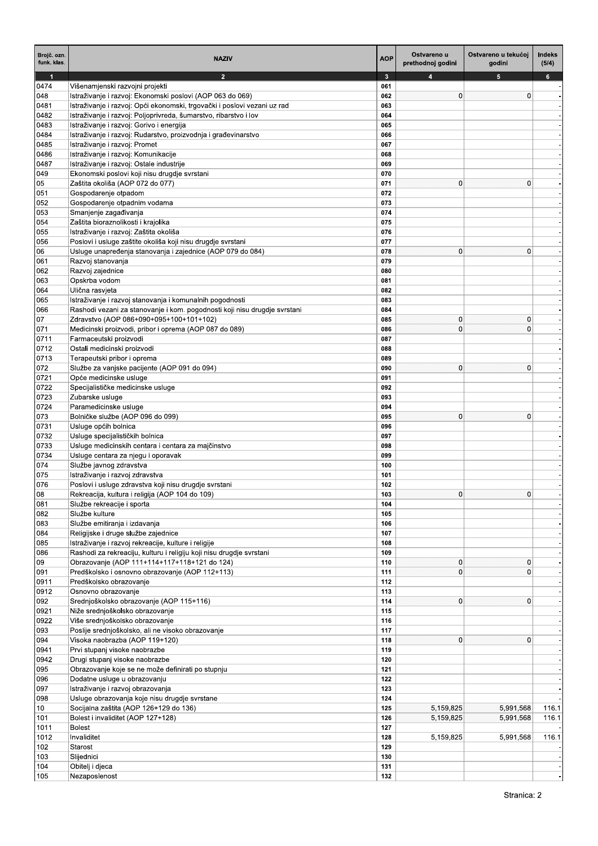| Brojč. ozn.<br>funk. klas. | <b>NAZIV</b>                                                                                                              | <b>AOP</b>                     | Ostvareno u<br>prethodnoj godini | Ostvareno u tekućoj<br>godini | Indeks<br>(5/4) |
|----------------------------|---------------------------------------------------------------------------------------------------------------------------|--------------------------------|----------------------------------|-------------------------------|-----------------|
| $\mathbf{1}$               | $\overline{2}$                                                                                                            | $\overline{\mathbf{3}}$<br>061 |                                  | 5                             | $6\phantom{1}$  |
| 0474<br>048                | Višenamjenski razvojni projekti<br>Istraživanje i razvoj: Ekonomski poslovi (AOP 063 do 069)                              | 062                            | $\mathbf 0$                      | $\Omega$                      |                 |
| 0481                       | Istraživanje i razvoj: Opći ekonomski, trgovački i poslovi vezani uz rad                                                  | 063                            |                                  |                               |                 |
| 0482                       | Istraživanje i razvoj: Poljoprivreda, šumarstvo, ribarstvo i lov                                                          | 064                            |                                  |                               |                 |
| 0483                       | Istraživanje i razvoj: Gorivo i energija                                                                                  | 065                            |                                  |                               |                 |
| 0484                       | Istraživanje i razvoj: Rudarstvo, proizvodnja i građevinarstvo                                                            | 066                            |                                  |                               |                 |
| 0485                       | Istraživanje i razvoj: Promet                                                                                             | 067                            |                                  |                               |                 |
| 0486                       | Istraživanje i razvoj: Komunikacije                                                                                       | 068                            |                                  |                               |                 |
| 0487<br>049                | Istraživanje i razvoj: Ostale industrije<br>Ekonomski poslovi koji nisu drugdje svrstani                                  | 069<br>070                     |                                  |                               |                 |
| 05                         | Zaštita okoliša (AOP 072 do 077)                                                                                          | 071                            | $\mathbf 0$                      | $\Omega$                      |                 |
| 051                        | Gospodarenje otpadom                                                                                                      | 072                            |                                  |                               |                 |
| 052                        | Gospodarenje otpadnim vodama                                                                                              | 073                            |                                  |                               |                 |
| 053                        | Smanjenje zagađivanja                                                                                                     | 074                            |                                  |                               |                 |
| 054                        | Zaštita bioraznolikosti i krajolika                                                                                       | 075                            |                                  |                               |                 |
| 055                        | Istraživanje i razvoj: Zaštita okoliša                                                                                    | 076                            |                                  |                               |                 |
| 056<br>06                  | Poslovi i usluge zaštite okoliša koji nisu drugdje svrstani<br>Usluge unapređenja stanovanja i zajednice (AOP 079 do 084) | 077<br>078                     | $\mathbf 0$                      | $\mathbf{0}$                  |                 |
| 061                        | Razvoj stanovanja                                                                                                         | 079                            |                                  |                               |                 |
| 062                        | Razvoj zajednice                                                                                                          | 080                            |                                  |                               |                 |
| 063                        | Opskrba vodom                                                                                                             | 081                            |                                  |                               |                 |
| 064                        | Ulična rasvjeta                                                                                                           | 082                            |                                  |                               |                 |
| 065                        | Istraživanje i razvoj stanovanja i komunalnih pogodnosti                                                                  | 083                            |                                  |                               |                 |
| 066                        | Rashodi vezani za stanovanje i kom. pogodnosti koji nisu drugdje svrstani                                                 | 084                            |                                  |                               |                 |
| 07                         | Zdravstvo (AOP 086+090+095+100+101+102)                                                                                   | 085                            | $\mathbf 0$                      | 0                             |                 |
| 071                        | Medicinski proizvodi, pribor i oprema (AOP 087 do 089)                                                                    | 086<br>087                     | $\mathbf 0$                      | $\Omega$                      |                 |
| 0711<br>0712               | Farmaceutski proizvodi<br>Ostali medicinski proizvodi                                                                     | 088                            |                                  |                               |                 |
| 0713                       | Terapeutski pribor i oprema                                                                                               | 089                            |                                  |                               |                 |
| 072                        | Službe za vanjske pacijente (AOP 091 do 094)                                                                              | 090                            | $\mathbf{0}$                     | $\mathbf 0$                   |                 |
| 0721                       | Opće medicinske usluge                                                                                                    | 091                            |                                  |                               |                 |
| 0722                       | Specijalističke medicinske usluge                                                                                         | 092                            |                                  |                               |                 |
| 0723                       | Zubarske usluge                                                                                                           | 093                            |                                  |                               |                 |
| 0724                       | Paramedicinske usluge                                                                                                     | 094                            |                                  |                               |                 |
| 073                        | Bolničke službe (AOP 096 do 099)<br>Usluge općih bolnica                                                                  | 095<br>096                     | $\mathbf{0}$                     | $\Omega$                      |                 |
| 0731<br>0732               | Usluge specijalističkih bolnica                                                                                           | 097                            |                                  |                               |                 |
| 0733                       | Usluge medicinskih centara i centara za majčinstvo                                                                        | 098                            |                                  |                               |                 |
| 0734                       | Usluge centara za njegu i oporavak                                                                                        | 099                            |                                  |                               |                 |
| 074                        | Službe javnog zdravstva                                                                                                   | 100                            |                                  |                               |                 |
| 075                        | Istraživanje i razvoj zdravstva                                                                                           | 101                            |                                  |                               |                 |
| 076                        | Poslovi i usluge zdravstva koji nisu drugdje svrstani                                                                     | 102                            |                                  |                               |                 |
| 08                         | Rekreacija, kultura i religija (AOP 104 do 109)                                                                           | 103                            | $\mathbf{0}$                     | 0                             |                 |
| 081<br>082                 | Službe rekreacije i sporta<br>Službe kulture                                                                              | 104<br>105                     |                                  |                               |                 |
| 083                        | Službe emitiranja i izdavanja                                                                                             | 106                            |                                  |                               |                 |
| 084                        | Religijske i druge službe zajednice                                                                                       | 107                            |                                  |                               |                 |
| 085                        | Istraživanje i razvoj rekreacije, kulture i religije                                                                      | 108                            |                                  |                               |                 |
| 086                        | Rashodi za rekreaciju, kulturu i religiju koji nisu drugdje svrstani                                                      | 109                            |                                  |                               |                 |
| 09                         | Obrazovanje (AOP 111+114+117+118+121 do 124)                                                                              | 110                            | $\mathbf 0$                      | $\mathbf{0}$                  |                 |
| 091                        | Predškolsko i osnovno obrazovanje (AOP 112+113)                                                                           | 111                            | $\mathbf 0$                      | $\Omega$                      |                 |
| 0911                       | Predškolsko obrazovanje                                                                                                   | 112                            |                                  |                               |                 |
| 0912<br>092                | Osnovno obrazovanje<br>Srednjoškolsko obrazovanje (AOP 115+116)                                                           | 113<br>114                     | $\mathbf 0$                      | $\mathbf{0}$                  |                 |
| 0921                       | Niže srednjoškolsko obrazovanje                                                                                           | 115                            |                                  |                               |                 |
| 0922                       | Više srednjoškolsko obrazovanje                                                                                           | 116                            |                                  |                               |                 |
| 093                        | Poslije srednjoškolsko, ali ne visoko obrazovanje                                                                         | 117                            |                                  |                               |                 |
| 094                        | Visoka naobrazba (AOP 119+120)                                                                                            | 118                            | $\mathbf 0$                      | $\mathbf{0}$                  |                 |
| 0941                       | Prvi stupanj visoke naobrazbe                                                                                             | 119                            |                                  |                               |                 |
| 0942                       | Drugi stupanj visoke naobrazbe                                                                                            | 120                            |                                  |                               |                 |
| 095                        | Obrazovanje koje se ne može definirati po stupnju                                                                         | 121                            |                                  |                               |                 |
| 096<br>097                 | Dodatne usluge u obrazovanju<br>Istraživanje i razvoj obrazovanja                                                         | 122<br>123                     |                                  |                               |                 |
| 098                        | Usluge obrazovanja koje nisu drugdje svrstane                                                                             | 124                            |                                  |                               |                 |
| 10                         | Socijalna zaštita (AOP 126+129 do 136)                                                                                    | 125                            | 5,159,825                        | 5,991,568                     | 116.1           |
| 101                        | Bolest i invaliditet (AOP 127+128)                                                                                        | 126                            | 5,159,825                        | 5,991,568                     | 116.1           |
| 1011                       | <b>Bolest</b>                                                                                                             | 127                            |                                  |                               |                 |
| 1012                       | Invaliditet                                                                                                               | 128                            | 5,159,825                        | 5,991,568                     | 116.1           |
| 102                        | Starost                                                                                                                   | 129                            |                                  |                               |                 |
| 103                        | Slijednici                                                                                                                | 130                            |                                  |                               |                 |
| 104<br>105                 | Obitelj i djeca<br>Nezaposlenost                                                                                          | 131<br>132                     |                                  |                               |                 |
|                            |                                                                                                                           |                                |                                  |                               |                 |